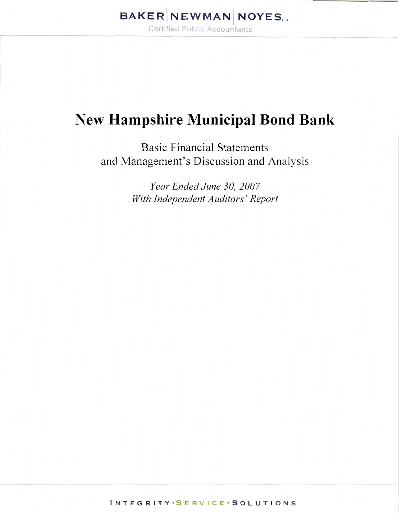# **New Hampshire Municipal Bond Bank**

**Basic Financial Statements** and Management's Discussion and Analysis

> Year Ended June 30, 2007 With Independent Auditors' Report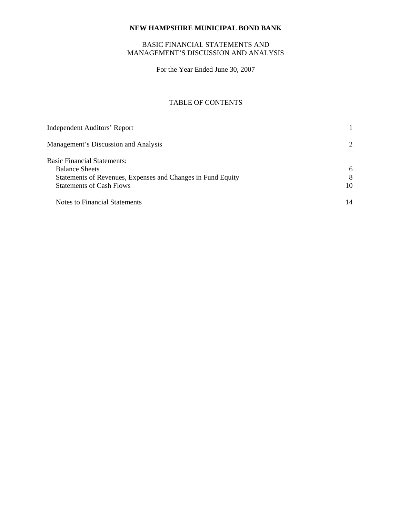# BASIC FINANCIAL STATEMENTS AND MANAGEMENT'S DISCUSSION AND ANALYSIS

For the Year Ended June 30, 2007

# TABLE OF CONTENTS

| <b>Independent Auditors' Report</b>                         |                       |
|-------------------------------------------------------------|-----------------------|
| Management's Discussion and Analysis                        | $\mathcal{D}_{\cdot}$ |
| <b>Basic Financial Statements:</b>                          |                       |
| <b>Balance Sheets</b>                                       | 6                     |
| Statements of Revenues, Expenses and Changes in Fund Equity | 8                     |
| <b>Statements of Cash Flows</b>                             | 10                    |
| <b>Notes to Financial Statements</b>                        | 14                    |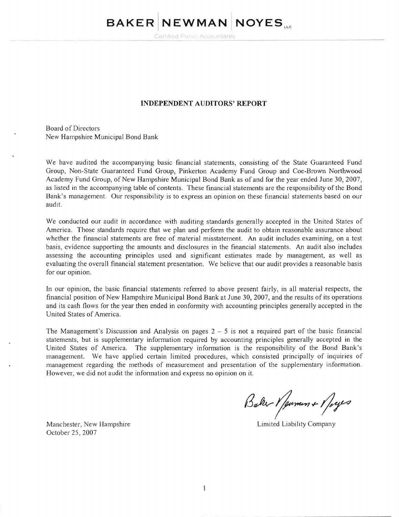# **BAKER NEWMAN NOYES.**

Certified Public Accountants

#### **INDEPENDENT AUDITORS' REPORT**

Board of Directors New Hampshire Municipal Bond Bank

We have audited the accompanying basic financial statements, consisting of the State Guaranteed Fund Group, Non-State Guaranteed Fund Group, Pinkerton Academy Fund Group and Coe-Brown Northwood Academy Fund Group, of New Hampshire Municipal Bond Bank as of and for the year ended June 30, 2007, as listed in the accompanying table of contents. These financial statements are the responsibility of the Bond Bank's management. Our responsibility is to express an opinion on these financial statements based on our audit.

We conducted our audit in accordance with auditing standards generally accepted in the United States of America. Those standards require that we plan and perform the audit to obtain reasonable assurance about whether the financial statements are free of material misstatement. An audit includes examining, on a test basis, evidence supporting the amounts and disclosures in the financial statements. An audit also includes assessing the accounting principles used and significant estimates made by management, as well as evaluating the overall financial statement presentation. We believe that our audit provides a reasonable basis for our opinion.

In our opinion, the basic financial statements referred to above present fairly, in all material respects, the financial position of New Hampshire Municipal Bond Bank at June 30, 2007, and the results of its operations and its cash flows for the year then ended in confonnity with accounting principles generally accepted in the United States of America.

The Management's Discussion and Analysis on pages  $2 - 5$  is not a required part of the basic financial statements, but is supplementary information required by accounting principles generally accepted in the United States of America. The supplementary infonnation is the responsibility of the Bond Bank's management. We have applied certain limited procedures, which consisted principally of inquiries of management regarding the methods of measurement and presentation of the supplementary information. However, we did not audit the information and express no opinion on it.

Baker Y pumen & Y *oyes* 

.

Manchester, New Hampshire **Limited Limited Limited Limited Limited Limited Limited Limited Limited Limited Limited Limited Limited Limited Limited Limited Limited Limited Limited Limited Limited Limited Limited Limited Lim** October 25 , 2007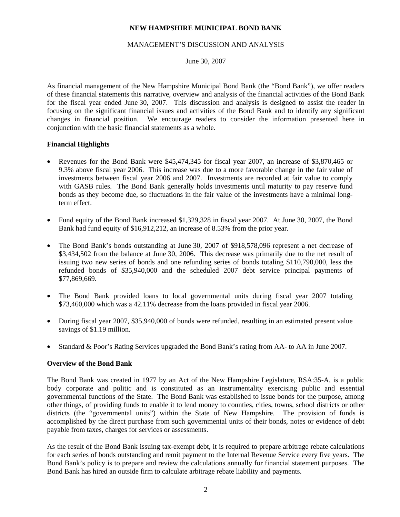#### MANAGEMENT'S DISCUSSION AND ANALYSIS

June 30, 2007

As financial management of the New Hampshire Municipal Bond Bank (the "Bond Bank"), we offer readers of these financial statements this narrative, overview and analysis of the financial activities of the Bond Bank for the fiscal year ended June 30, 2007. This discussion and analysis is designed to assist the reader in focusing on the significant financial issues and activities of the Bond Bank and to identify any significant changes in financial position. We encourage readers to consider the information presented here in conjunction with the basic financial statements as a whole.

#### **Financial Highlights**

- Revenues for the Bond Bank were \$45,474,345 for fiscal year 2007, an increase of \$3,870,465 or 9.3% above fiscal year 2006. This increase was due to a more favorable change in the fair value of investments between fiscal year 2006 and 2007. Investments are recorded at fair value to comply with GASB rules. The Bond Bank generally holds investments until maturity to pay reserve fund bonds as they become due, so fluctuations in the fair value of the investments have a minimal longterm effect.
- Fund equity of the Bond Bank increased \$1,329,328 in fiscal year 2007. At June 30, 2007, the Bond Bank had fund equity of \$16,912,212, an increase of 8.53% from the prior year.
- The Bond Bank's bonds outstanding at June 30, 2007 of \$918,578,096 represent a net decrease of \$3,434,502 from the balance at June 30, 2006. This decrease was primarily due to the net result of issuing two new series of bonds and one refunding series of bonds totaling \$110,790,000, less the refunded bonds of \$35,940,000 and the scheduled 2007 debt service principal payments of \$77,869,669.
- The Bond Bank provided loans to local governmental units during fiscal year 2007 totaling \$73,460,000 which was a 42.11% decrease from the loans provided in fiscal year 2006.
- During fiscal year 2007, \$35,940,000 of bonds were refunded, resulting in an estimated present value savings of \$1.19 million.
- Standard & Poor's Rating Services upgraded the Bond Bank's rating from AA- to AA in June 2007.

#### **Overview of the Bond Bank**

The Bond Bank was created in 1977 by an Act of the New Hampshire Legislature, RSA:35-A, is a public body corporate and politic and is constituted as an instrumentality exercising public and essential governmental functions of the State. The Bond Bank was established to issue bonds for the purpose, among other things, of providing funds to enable it to lend money to counties, cities, towns, school districts or other districts (the "governmental units") within the State of New Hampshire. The provision of funds is accomplished by the direct purchase from such governmental units of their bonds, notes or evidence of debt payable from taxes, charges for services or assessments.

As the result of the Bond Bank issuing tax-exempt debt, it is required to prepare arbitrage rebate calculations for each series of bonds outstanding and remit payment to the Internal Revenue Service every five years. The Bond Bank's policy is to prepare and review the calculations annually for financial statement purposes. The Bond Bank has hired an outside firm to calculate arbitrage rebate liability and payments.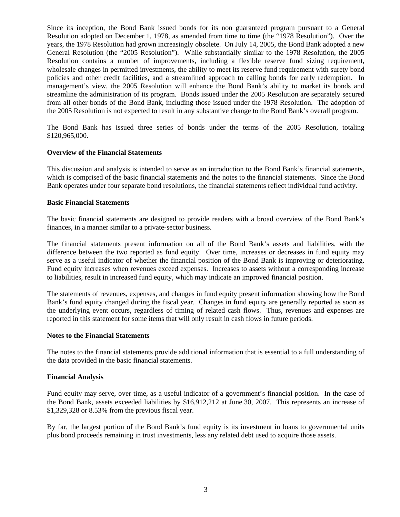Since its inception, the Bond Bank issued bonds for its non guaranteed program pursuant to a General Resolution adopted on December 1, 1978, as amended from time to time (the "1978 Resolution"). Over the years, the 1978 Resolution had grown increasingly obsolete. On July 14, 2005, the Bond Bank adopted a new General Resolution (the "2005 Resolution"). While substantially similar to the 1978 Resolution, the 2005 Resolution contains a number of improvements, including a flexible reserve fund sizing requirement, wholesale changes in permitted investments, the ability to meet its reserve fund requirement with surety bond policies and other credit facilities, and a streamlined approach to calling bonds for early redemption. In management's view, the 2005 Resolution will enhance the Bond Bank's ability to market its bonds and streamline the administration of its program. Bonds issued under the 2005 Resolution are separately secured from all other bonds of the Bond Bank, including those issued under the 1978 Resolution. The adoption of the 2005 Resolution is not expected to result in any substantive change to the Bond Bank's overall program.

The Bond Bank has issued three series of bonds under the terms of the 2005 Resolution, totaling \$120,965,000.

#### **Overview of the Financial Statements**

This discussion and analysis is intended to serve as an introduction to the Bond Bank's financial statements, which is comprised of the basic financial statements and the notes to the financial statements. Since the Bond Bank operates under four separate bond resolutions, the financial statements reflect individual fund activity.

#### **Basic Financial Statements**

The basic financial statements are designed to provide readers with a broad overview of the Bond Bank's finances, in a manner similar to a private-sector business.

The financial statements present information on all of the Bond Bank's assets and liabilities, with the difference between the two reported as fund equity. Over time, increases or decreases in fund equity may serve as a useful indicator of whether the financial position of the Bond Bank is improving or deteriorating. Fund equity increases when revenues exceed expenses. Increases to assets without a corresponding increase to liabilities, result in increased fund equity, which may indicate an improved financial position.

The statements of revenues, expenses, and changes in fund equity present information showing how the Bond Bank's fund equity changed during the fiscal year. Changes in fund equity are generally reported as soon as the underlying event occurs, regardless of timing of related cash flows. Thus, revenues and expenses are reported in this statement for some items that will only result in cash flows in future periods.

#### **Notes to the Financial Statements**

The notes to the financial statements provide additional information that is essential to a full understanding of the data provided in the basic financial statements.

#### **Financial Analysis**

Fund equity may serve, over time, as a useful indicator of a government's financial position. In the case of the Bond Bank, assets exceeded liabilities by \$16,912,212 at June 30, 2007. This represents an increase of \$1,329,328 or 8.53% from the previous fiscal year.

By far, the largest portion of the Bond Bank's fund equity is its investment in loans to governmental units plus bond proceeds remaining in trust investments, less any related debt used to acquire those assets.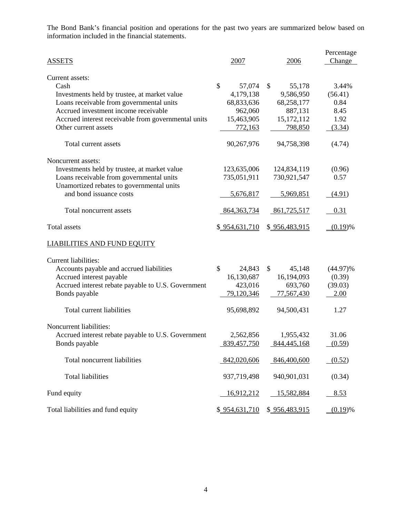The Bond Bank's financial position and operations for the past two years are summarized below based on information included in the financial statements.

|                                                                                       |               |               | Percentage  |
|---------------------------------------------------------------------------------------|---------------|---------------|-------------|
| <b>ASSETS</b>                                                                         | 2007          | 2006          | Change      |
| Current assets:                                                                       |               |               |             |
| Cash                                                                                  | \$<br>57,074  | \$<br>55,178  | 3.44%       |
| Investments held by trustee, at market value                                          | 4,179,138     | 9,586,950     | (56.41)     |
| Loans receivable from governmental units                                              | 68,833,636    | 68,258,177    | 0.84        |
| Accrued investment income receivable                                                  | 962,060       | 887,131       | 8.45        |
| Accrued interest receivable from governmental units                                   | 15,463,905    | 15,172,112    | 1.92        |
| Other current assets                                                                  | 772,163       | 798,850       | (3.34)      |
| Total current assets                                                                  | 90,267,976    | 94,758,398    | (4.74)      |
| Noncurrent assets:                                                                    |               |               |             |
| Investments held by trustee, at market value                                          | 123,635,006   | 124,834,119   | (0.96)      |
| Loans receivable from governmental units<br>Unamortized rebates to governmental units | 735,051,911   | 730,921,547   | 0.57        |
| and bond issuance costs                                                               | 5,676,817     | 5,969,851     | (4.91)      |
| Total noncurrent assets                                                               | 864, 363, 734 | 861,725,517   | 0.31        |
| Total assets                                                                          | \$954,631,710 | \$956,483,915 | $(0.19)$ %  |
| <b>LIABILITIES AND FUND EQUITY</b>                                                    |               |               |             |
| Current liabilities:                                                                  |               |               |             |
| Accounts payable and accrued liabilities                                              | \$<br>24,843  | \$<br>45,148  | $(44.97)\%$ |
| Accrued interest payable                                                              | 16,130,687    | 16,194,093    | (0.39)      |
| Accrued interest rebate payable to U.S. Government                                    | 423,016       | 693,760       | (39.03)     |
| Bonds payable                                                                         | 79,120,346    | 77,567,430    | 2.00        |
| Total current liabilities                                                             | 95,698,892    | 94,500,431    | 1.27        |
| Noncurrent liabilities:                                                               |               |               |             |
| Accrued interest rebate payable to U.S. Government                                    | 2,562,856     | 1,955,432     | 31.06       |
| Bonds payable                                                                         | 839,457,750   | 844,445,168   | (0.59)      |
|                                                                                       |               |               |             |
| Total noncurrent liabilities                                                          | 842,020,606   | 846,400,600   | (0.52)      |
| <b>Total liabilities</b>                                                              | 937,719,498   | 940,901,031   | (0.34)      |
| Fund equity                                                                           | 16,912,212    | 15,582,884    | 8.53        |
| Total liabilities and fund equity                                                     | \$954,631,710 | \$956,483,915 | (0.19)%     |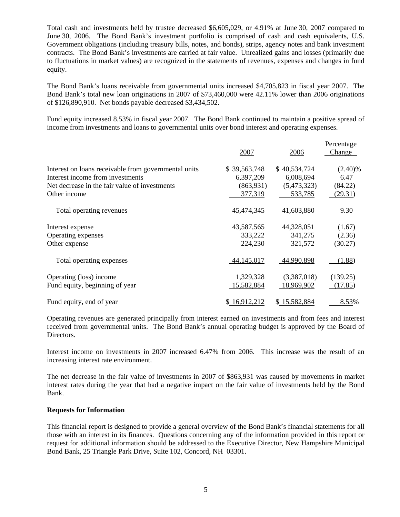Total cash and investments held by trustee decreased \$6,605,029, or 4.91% at June 30, 2007 compared to June 30, 2006. The Bond Bank's investment portfolio is comprised of cash and cash equivalents, U.S. Government obligations (including treasury bills, notes, and bonds), strips, agency notes and bank investment contracts. The Bond Bank's investments are carried at fair value. Unrealized gains and losses (primarily due to fluctuations in market values) are recognized in the statements of revenues, expenses and changes in fund equity.

The Bond Bank's loans receivable from governmental units increased \$4,705,823 in fiscal year 2007. The Bond Bank's total new loan originations in 2007 of \$73,460,000 were 42.11% lower than 2006 originations of \$126,890,910. Net bonds payable decreased \$3,434,502.

Fund equity increased 8.53% in fiscal year 2007. The Bond Bank continued to maintain a positive spread of income from investments and loans to governmental units over bond interest and operating expenses.

|                                                      | 2007         | 2006         | Percentage<br>Change |
|------------------------------------------------------|--------------|--------------|----------------------|
| Interest on loans receivable from governmental units | \$39,563,748 | \$40,534,724 | $(2.40)\%$           |
| Interest income from investments                     | 6,397,209    | 6,008,694    | 6.47                 |
| Net decrease in the fair value of investments        | (863,931)    | (5,473,323)  | (84.22)              |
| Other income                                         | 377,319      | 533,785      | (29.31)              |
| Total operating revenues                             | 45,474,345   | 41,603,880   | 9.30                 |
| Interest expense                                     | 43,587,565   | 44,328,051   | (1.67)               |
| Operating expenses                                   | 333,222      | 341,275      | (2.36)               |
| Other expense                                        | 224,230      | 321,572      | (30.27)              |
| Total operating expenses                             | 44, 145, 017 | 44,990,898   | (1.88)               |
| Operating (loss) income                              | 1,329,328    | (3,387,018)  | (139.25)             |
| Fund equity, beginning of year                       | 15,582,884   | 18,969,902   | (17.85)              |
| Fund equity, end of year                             | \$16,912,212 | \$15,582,884 | 8.53%                |

Operating revenues are generated principally from interest earned on investments and from fees and interest received from governmental units. The Bond Bank's annual operating budget is approved by the Board of Directors.

Interest income on investments in 2007 increased 6.47% from 2006. This increase was the result of an increasing interest rate environment.

The net decrease in the fair value of investments in 2007 of \$863,931 was caused by movements in market interest rates during the year that had a negative impact on the fair value of investments held by the Bond Bank.

#### **Requests for Information**

This financial report is designed to provide a general overview of the Bond Bank's financial statements for all those with an interest in its finances. Questions concerning any of the information provided in this report or request for additional information should be addressed to the Executive Director, New Hampshire Municipal Bond Bank, 25 Triangle Park Drive, Suite 102, Concord, NH 03301.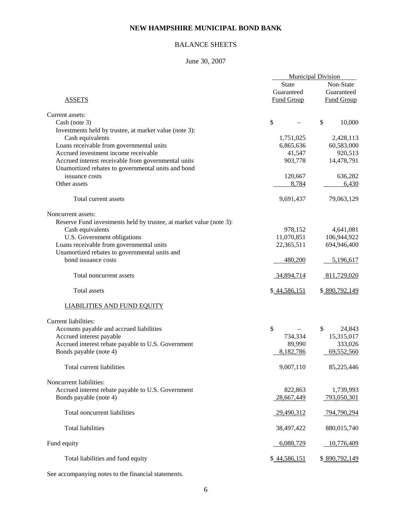# BALANCE SHEETS

# June 30, 2007

|                                                                     | <b>Municipal Division</b> |                   |
|---------------------------------------------------------------------|---------------------------|-------------------|
|                                                                     | <b>State</b>              | Non-State         |
|                                                                     | Guaranteed                | Guaranteed        |
| <b>ASSETS</b>                                                       | <b>Fund Group</b>         | <b>Fund Group</b> |
| Current assets:                                                     |                           |                   |
| Cash (note 3)                                                       | \$                        | \$<br>10,000      |
| Investments held by trustee, at market value (note 3):              |                           |                   |
| Cash equivalents                                                    | 1,751,025                 | 2,428,113         |
| Loans receivable from governmental units                            | 6,865,636                 | 60,583,000        |
| Accrued investment income receivable                                | 41,547                    | 920,513           |
| Accrued interest receivable from governmental units                 | 903,778                   | 14,478,791        |
| Unamortized rebates to governmental units and bond                  |                           |                   |
| issuance costs                                                      | 120,667                   | 636,282           |
| Other assets                                                        | 8,784                     | 6,430             |
|                                                                     |                           |                   |
| Total current assets                                                | 9,691,437                 | 79,063,129        |
| Noncurrent assets:                                                  |                           |                   |
| Reserve Fund investments held by trustee, at market value (note 3): |                           |                   |
| Cash equivalents                                                    | 978,152                   | 4,641,081         |
| U.S. Government obligations                                         | 11,070,851                | 106,944,922       |
| Loans receivable from governmental units                            | 22,365,511                | 694,946,400       |
| Unamortized rebates to governmental units and                       |                           |                   |
| bond issuance costs                                                 | 480,200                   | 5,196,617         |
| Total noncurrent assets                                             | 34,894,714                | 811,729,020       |
| Total assets                                                        | \$44,586,151              | \$890,792,149     |
| <b>LIABILITIES AND FUND EQUITY</b>                                  |                           |                   |
| Current liabilities:                                                |                           |                   |
| Accounts payable and accrued liabilities                            | \$                        | \$<br>24,843      |
| Accrued interest payable                                            | 734,334                   | 15,315,017        |
| Accrued interest rebate payable to U.S. Government                  | 89,990                    | 333,026           |
| Bonds payable (note 4)                                              | 8,182,786                 | 69,552,560        |
| Total current liabilities                                           | 9,007,110                 | 85,225,446        |
| Noncurrent liabilities:                                             |                           |                   |
| Accrued interest rebate payable to U.S. Government                  | 822,863                   | 1,739,993         |
| Bonds payable (note 4)                                              | 28,667,449                | 793,050,301       |
| Total noncurrent liabilities                                        | 29,490,312                | 794,790,294       |
| <b>Total liabilities</b>                                            | 38,497,422                | 880,015,740       |
| Fund equity                                                         | 6,088,729                 | 10,776,409        |
|                                                                     |                           |                   |
| Total liabilities and fund equity                                   | \$44,586,151              | \$890,792,149     |

See accompanying notes to the financial statements.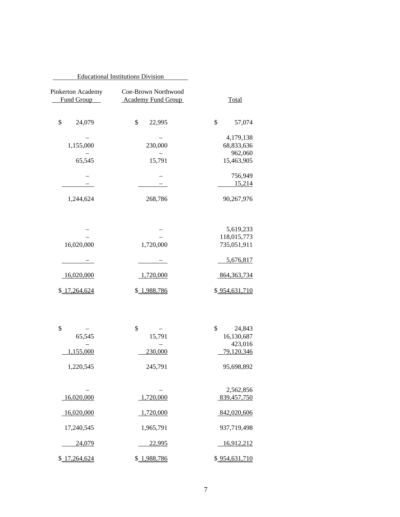|                                    | <b>Educational Institutions Division</b>         |                                 |
|------------------------------------|--------------------------------------------------|---------------------------------|
| Total                              | Coe-Brown Northwood<br><b>Academy Fund Group</b> | Pinkerton Academy<br>Fund Group |
| \$<br>57,074                       | \$<br>22,995                                     | \$<br>24,079                    |
| 4,179,138<br>68,833,636<br>962,060 | 230,000                                          | 1,155,000                       |
| 15,463,905                         | 15,791                                           | 65,545                          |
| 756,949<br>15,214                  |                                                  |                                 |
| 90,267,976                         | 268,786                                          | 1,244,624                       |
| 5,619,233                          |                                                  |                                 |
| 118,015,773<br>735,051,911         | 1,720,000                                        | 16,020,000                      |
| 5,676,817                          |                                                  |                                 |
| 864, 363, 734                      | 1,720,000                                        | 16,020,000                      |
| \$954,631,710                      | \$1,988,786                                      | \$17,264,624                    |
| \$<br>24,843                       | \$                                               | \$                              |
| 16,130,687<br>423,016              | 15,791                                           | 65,545                          |
| 79,120,346                         | 230,000                                          | 1,155,000                       |
| 95,698,892                         | 245,791                                          | 1,220,545                       |
| 2,562,856<br>839,457,750           | 1,720,000                                        | 16,020,000                      |
| 842,020,606                        | 1,720,000                                        | 16,020,000                      |
| 937,719,498                        | 1,965,791                                        | 17,240,545                      |
| 16,912,212                         | 22,995                                           | 24,079                          |
| \$954,631,710                      | \$1,988,786                                      | \$17,264,624                    |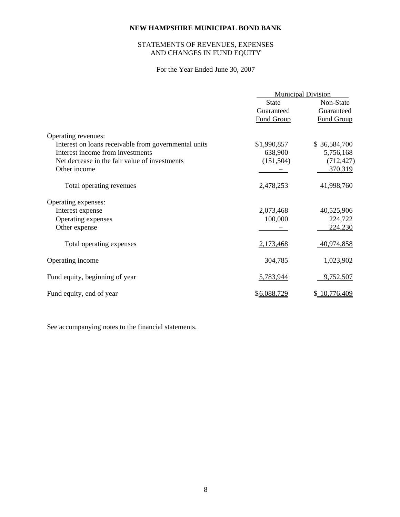# STATEMENTS OF REVENUES, EXPENSES AND CHANGES IN FUND EQUITY

For the Year Ended June 30, 2007

|                                                      | <b>Municipal Division</b> |                   |  |
|------------------------------------------------------|---------------------------|-------------------|--|
|                                                      | <b>State</b>              | Non-State         |  |
|                                                      | Guaranteed                | Guaranteed        |  |
|                                                      | <b>Fund Group</b>         | <b>Fund Group</b> |  |
| Operating revenues:                                  |                           |                   |  |
| Interest on loans receivable from governmental units | \$1,990,857               | \$36,584,700      |  |
| Interest income from investments                     | 638,900                   | 5,756,168         |  |
| Net decrease in the fair value of investments        | (151, 504)                | (712, 427)        |  |
| Other income                                         |                           | 370,319           |  |
| Total operating revenues                             | 2,478,253                 | 41,998,760        |  |
| Operating expenses:                                  |                           |                   |  |
| Interest expense                                     | 2,073,468                 | 40,525,906        |  |
| Operating expenses                                   | 100,000                   | 224,722           |  |
| Other expense                                        |                           | 224,230           |  |
| Total operating expenses                             | 2,173,468                 | 40,974,858        |  |
| Operating income                                     | 304,785                   | 1,023,902         |  |
| Fund equity, beginning of year                       | 5,783,944                 | 9,752,507         |  |
| Fund equity, end of year                             | \$6,088,729               | \$10,776,409      |  |

See accompanying notes to the financial statements.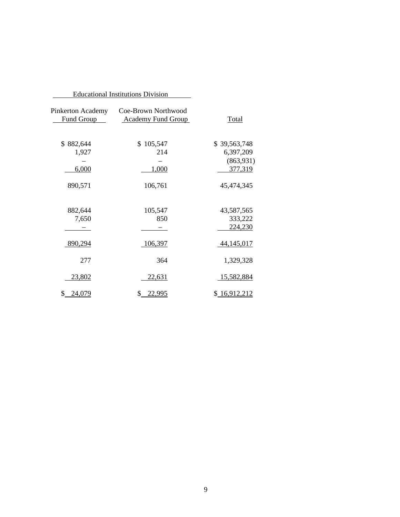|                                 | <b>Educational Institutions Division</b>         |                           |
|---------------------------------|--------------------------------------------------|---------------------------|
| Pinkerton Academy<br>Fund Group | Coe-Brown Northwood<br><b>Academy Fund Group</b> | Total                     |
| \$882,644<br>1,927              | \$105,547<br>214                                 | \$39,563,748<br>6,397,209 |
|                                 |                                                  | (863,931)                 |
| 6,000                           | 1,000                                            | 377,319                   |
| 890,571                         | 106,761                                          | 45,474,345                |
| 882,644                         | 105,547                                          | 43,587,565                |
| 7,650                           | 850                                              | 333,222<br>224,230        |
| 890,294                         | 106,397                                          | 44,145,017                |
| 277                             | 364                                              | 1,329,328                 |
| <u>23,802</u>                   | 22,631                                           | <u>15,582,884</u>         |
| \$24,079                        | \$22,995                                         | \$16,912,212              |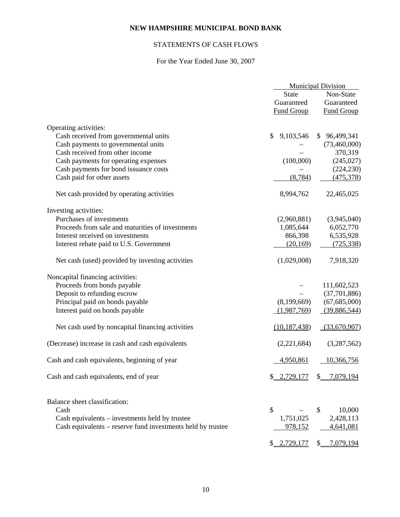# STATEMENTS OF CASH FLOWS

# For the Year Ended June 30, 2007

|                                                             | <b>Municipal Division</b> |                      |  |
|-------------------------------------------------------------|---------------------------|----------------------|--|
|                                                             | <b>State</b>              | Non-State            |  |
|                                                             | Guaranteed                | Guaranteed           |  |
|                                                             | <b>Fund Group</b>         | <b>Fund Group</b>    |  |
|                                                             |                           |                      |  |
| Operating activities:                                       |                           |                      |  |
| Cash received from governmental units                       | 9,103,546<br>\$           | \$96,499,341         |  |
| Cash payments to governmental units                         |                           | (73,460,000)         |  |
| Cash received from other income                             |                           | 370,319              |  |
| Cash payments for operating expenses                        | (100,000)                 | (245, 027)           |  |
| Cash payments for bond issuance costs                       |                           | (224, 230)           |  |
| Cash paid for other assets                                  | (8, 784)                  | (475,378)            |  |
| Net cash provided by operating activities                   | 8,994,762                 | 22,465,025           |  |
| Investing activities:                                       |                           |                      |  |
| Purchases of investments                                    | (2,960,881)               | (3,945,040)          |  |
| Proceeds from sale and maturities of investments            | 1,085,644                 | 6,052,770            |  |
| Interest received on investments                            | 866,398                   | 6,535,928            |  |
| Interest rebate paid to U.S. Government                     | (20, 169)                 | (725, 338)           |  |
| Net cash (used) provided by investing activities            | (1,029,008)               | 7,918,320            |  |
| Noncapital financing activities:                            |                           |                      |  |
| Proceeds from bonds payable                                 |                           | 111,602,523          |  |
| Deposit to refunding escrow                                 |                           | (37,701,886)         |  |
| Principal paid on bonds payable                             | (8,199,669)               | (67,685,000)         |  |
| Interest paid on bonds payable                              | (1,987,769)               | (39,886,544)         |  |
| Net cash used by noncapital financing activities            | (10, 187, 438)            | (33,670,907)         |  |
| (Decrease) increase in cash and cash equivalents            | (2,221,684)               | (3,287,562)          |  |
| Cash and cash equivalents, beginning of year                | 4,950,861                 | 10,366,756           |  |
| Cash and cash equivalents, end of year                      | \$2,729,177               | $$-.7,079,194$       |  |
| Balance sheet classification:                               |                           |                      |  |
| Cash                                                        | \$                        | \$<br>10,000         |  |
| Cash equivalents – investments held by trustee              | 1,751,025                 | 2,428,113            |  |
| Cash equivalents – reserve fund investments held by trustee | 978,152                   | 4,641,081            |  |
|                                                             | \$2,729,177               | 7,079,194<br>$S_{-}$ |  |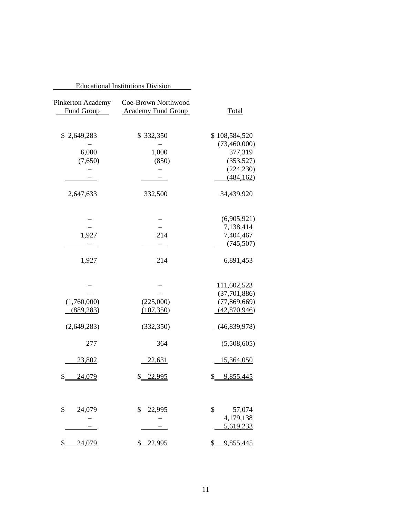| <b>Educational Institutions Division</b> |                                                  |                     |
|------------------------------------------|--------------------------------------------------|---------------------|
| Pinkerton Academy<br>Fund Group          | Coe-Brown Northwood<br><b>Academy Fund Group</b> | <b>Total</b>        |
| \$2,649,283                              | \$332,350                                        | \$108,584,520       |
|                                          |                                                  | (73,460,000)        |
| 6,000                                    | 1,000                                            | 377,319             |
| (7,650)                                  | (850)                                            | (353,527)           |
|                                          |                                                  | (224, 230)          |
|                                          |                                                  | (484, 162)          |
| 2,647,633                                | 332,500                                          | 34,439,920          |
|                                          |                                                  | (6,905,921)         |
|                                          |                                                  | 7,138,414           |
| 1,927                                    | 214                                              | 7,404,467           |
|                                          |                                                  | (745, 507)          |
| 1,927                                    | 214                                              | 6,891,453           |
|                                          |                                                  | 111,602,523         |
|                                          |                                                  | (37,701,886)        |
| (1,760,000)                              | (225,000)                                        | (77, 869, 669)      |
| (889, 283)                               | (107, 350)                                       | (42,870,946)        |
| (2,649,283)                              | (332,350)                                        | (46,839,978)        |
| 277                                      | 364                                              | (5,508,605)         |
| 23,802                                   | 22,631                                           | 15,364,050          |
| \$<br>24,079                             | \$_<br>22,995                                    | \$.<br>9,855,445    |
| \$                                       | \$                                               | \$                  |
| 24,079                                   | 22,995                                           | 57,074<br>4,179,138 |
|                                          |                                                  | 5,619,233           |
|                                          |                                                  |                     |
| \$<br>24,079                             | \$_<br>22,995                                    | \$<br>9,855,445     |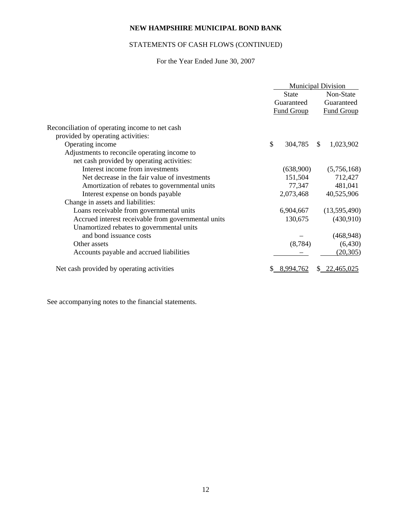# STATEMENTS OF CASH FLOWS (CONTINUED)

# For the Year Ended June 30, 2007

|                                                     | <b>Municipal Division</b> |                   |           |                   |
|-----------------------------------------------------|---------------------------|-------------------|-----------|-------------------|
|                                                     | <b>State</b>              |                   | Non-State |                   |
|                                                     |                           | Guaranteed        |           | Guaranteed        |
|                                                     |                           | <b>Fund Group</b> |           | <b>Fund Group</b> |
| Reconciliation of operating income to net cash      |                           |                   |           |                   |
| provided by operating activities:                   |                           |                   |           |                   |
| Operating income                                    | \$                        | 304,785           | \$        | 1,023,902         |
| Adjustments to reconcile operating income to        |                           |                   |           |                   |
| net cash provided by operating activities:          |                           |                   |           |                   |
| Interest income from investments                    |                           | (638,900)         |           | (5,756,168)       |
| Net decrease in the fair value of investments       |                           | 151,504           |           | 712,427           |
| Amortization of rebates to governmental units       |                           | 77,347            |           | 481,041           |
| Interest expense on bonds payable                   |                           | 2,073,468         |           | 40,525,906        |
| Change in assets and liabilities:                   |                           |                   |           |                   |
| Loans receivable from governmental units            |                           | 6,904,667         |           | (13,595,490)      |
| Accrued interest receivable from governmental units |                           | 130,675           |           | (430,910)         |
| Unamortized rebates to governmental units           |                           |                   |           |                   |
| and bond issuance costs                             |                           |                   |           | (468, 948)        |
| Other assets                                        |                           | (8, 784)          |           | (6, 430)          |
| Accounts payable and accrued liabilities            |                           |                   |           | (20, 305)         |
| Net cash provided by operating activities           |                           | 8.994.762         |           | <u>22,465,025</u> |

See accompanying notes to the financial statements.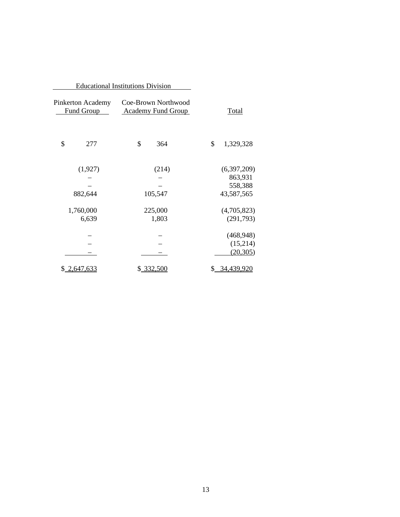|                                                                                     | <b>Educational Institutions Division</b> |              |                       |
|-------------------------------------------------------------------------------------|------------------------------------------|--------------|-----------------------|
| Coe-Brown Northwood<br>Pinkerton Academy<br>Fund Group<br><b>Academy Fund Group</b> |                                          | <u>Total</u> |                       |
| \$                                                                                  | 277                                      | \$<br>364    | \$<br>1,329,328       |
|                                                                                     | (1,927)                                  | (214)        | (6,397,209)           |
|                                                                                     |                                          |              | 863,931               |
|                                                                                     | 882,644                                  | 105,547      | 558,388<br>43,587,565 |
|                                                                                     | 1,760,000                                | 225,000      | (4,705,823)           |
|                                                                                     | 6,639                                    | 1,803        | (291,793)             |
|                                                                                     |                                          |              | (468, 948)            |
|                                                                                     |                                          |              | (15,214)              |
|                                                                                     |                                          |              | (20, 305)             |
|                                                                                     | <u>\$2,647,633</u>                       | \$332,500    | 34,439,920            |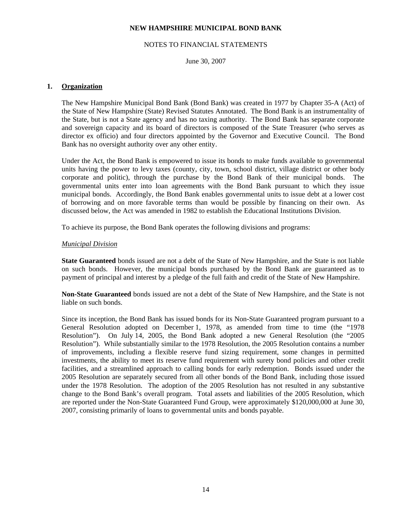#### NOTES TO FINANCIAL STATEMENTS

June 30, 2007

#### **1. Organization**

 The New Hampshire Municipal Bond Bank (Bond Bank) was created in 1977 by Chapter 35-A (Act) of the State of New Hampshire (State) Revised Statutes Annotated. The Bond Bank is an instrumentality of the State, but is not a State agency and has no taxing authority. The Bond Bank has separate corporate and sovereign capacity and its board of directors is composed of the State Treasurer (who serves as director ex officio) and four directors appointed by the Governor and Executive Council. The Bond Bank has no oversight authority over any other entity.

 Under the Act, the Bond Bank is empowered to issue its bonds to make funds available to governmental units having the power to levy taxes (county, city, town, school district, village district or other body corporate and politic), through the purchase by the Bond Bank of their municipal bonds. The governmental units enter into loan agreements with the Bond Bank pursuant to which they issue municipal bonds. Accordingly, the Bond Bank enables governmental units to issue debt at a lower cost of borrowing and on more favorable terms than would be possible by financing on their own. As discussed below, the Act was amended in 1982 to establish the Educational Institutions Division.

To achieve its purpose, the Bond Bank operates the following divisions and programs:

#### *Municipal Division*

 **State Guaranteed** bonds issued are not a debt of the State of New Hampshire, and the State is not liable on such bonds. However, the municipal bonds purchased by the Bond Bank are guaranteed as to payment of principal and interest by a pledge of the full faith and credit of the State of New Hampshire.

 **Non-State Guaranteed** bonds issued are not a debt of the State of New Hampshire, and the State is not liable on such bonds.

 Since its inception, the Bond Bank has issued bonds for its Non-State Guaranteed program pursuant to a General Resolution adopted on December 1, 1978, as amended from time to time (the "1978 Resolution"). On July 14, 2005, the Bond Bank adopted a new General Resolution (the "2005 Resolution"). While substantially similar to the 1978 Resolution, the 2005 Resolution contains a number of improvements, including a flexible reserve fund sizing requirement, some changes in permitted investments, the ability to meet its reserve fund requirement with surety bond policies and other credit facilities, and a streamlined approach to calling bonds for early redemption. Bonds issued under the 2005 Resolution are separately secured from all other bonds of the Bond Bank, including those issued under the 1978 Resolution. The adoption of the 2005 Resolution has not resulted in any substantive change to the Bond Bank's overall program. Total assets and liabilities of the 2005 Resolution, which are reported under the Non-State Guaranteed Fund Group, were approximately \$120,000,000 at June 30, 2007, consisting primarily of loans to governmental units and bonds payable.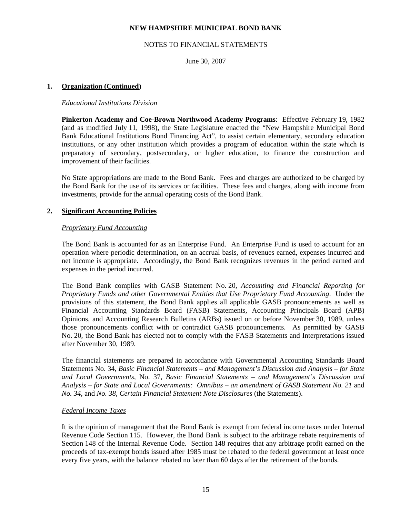#### NOTES TO FINANCIAL STATEMENTS

June 30, 2007

#### **1. Organization (Continued)**

#### *Educational Institutions Division*

 **Pinkerton Academy and Coe-Brown Northwood Academy Programs**: Effective February 19, 1982 (and as modified July 11, 1998), the State Legislature enacted the "New Hampshire Municipal Bond Bank Educational Institutions Bond Financing Act", to assist certain elementary, secondary education institutions, or any other institution which provides a program of education within the state which is preparatory of secondary, postsecondary, or higher education, to finance the construction and improvement of their facilities.

 No State appropriations are made to the Bond Bank. Fees and charges are authorized to be charged by the Bond Bank for the use of its services or facilities. These fees and charges, along with income from investments, provide for the annual operating costs of the Bond Bank.

#### **2. Significant Accounting Policies**

#### *Proprietary Fund Accounting*

 The Bond Bank is accounted for as an Enterprise Fund. An Enterprise Fund is used to account for an operation where periodic determination, on an accrual basis, of revenues earned, expenses incurred and net income is appropriate. Accordingly, the Bond Bank recognizes revenues in the period earned and expenses in the period incurred.

 The Bond Bank complies with GASB Statement No. 20, *Accounting and Financial Reporting for Proprietary Funds and other Governmental Entities that Use Proprietary Fund Accounting*. Under the provisions of this statement, the Bond Bank applies all applicable GASB pronouncements as well as Financial Accounting Standards Board (FASB) Statements, Accounting Principals Board (APB) Opinions, and Accounting Research Bulletins (ARBs) issued on or before November 30, 1989, unless those pronouncements conflict with or contradict GASB pronouncements. As permitted by GASB No. 20, the Bond Bank has elected not to comply with the FASB Statements and Interpretations issued after November 30, 1989.

 The financial statements are prepared in accordance with Governmental Accounting Standards Board Statements No. 34, *Basic Financial Statements – and Management's Discussion and Analysis – for State and Local Governments*, No. 37, *Basic Financial Statements – and Management's Discussion and Analysis – for State and Local Governments: Omnibus – an amendment of GASB Statement No. 21* and *No. 34*, and *No. 38*, *Certain Financial Statement Note Disclosures* (the Statements).

#### *Federal Income Taxes*

 It is the opinion of management that the Bond Bank is exempt from federal income taxes under Internal Revenue Code Section 115. However, the Bond Bank is subject to the arbitrage rebate requirements of Section 148 of the Internal Revenue Code. Section 148 requires that any arbitrage profit earned on the proceeds of tax-exempt bonds issued after 1985 must be rebated to the federal government at least once every five years, with the balance rebated no later than 60 days after the retirement of the bonds.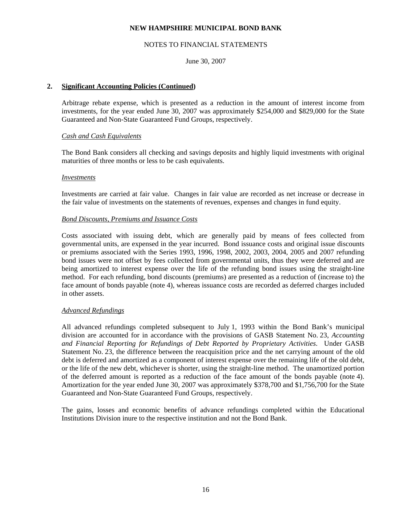#### NOTES TO FINANCIAL STATEMENTS

June 30, 2007

#### **2. Significant Accounting Policies (Continued)**

 Arbitrage rebate expense, which is presented as a reduction in the amount of interest income from investments, for the year ended June 30, 2007 was approximately \$254,000 and \$829,000 for the State Guaranteed and Non-State Guaranteed Fund Groups, respectively.

#### *Cash and Cash Equivalents*

 The Bond Bank considers all checking and savings deposits and highly liquid investments with original maturities of three months or less to be cash equivalents.

#### *Investments*

 Investments are carried at fair value. Changes in fair value are recorded as net increase or decrease in the fair value of investments on the statements of revenues, expenses and changes in fund equity.

#### *Bond Discounts, Premiums and Issuance Costs*

 Costs associated with issuing debt, which are generally paid by means of fees collected from governmental units, are expensed in the year incurred. Bond issuance costs and original issue discounts or premiums associated with the Series 1993, 1996, 1998, 2002, 2003, 2004, 2005 and 2007 refunding bond issues were not offset by fees collected from governmental units, thus they were deferred and are being amortized to interest expense over the life of the refunding bond issues using the straight-line method. For each refunding, bond discounts (premiums) are presented as a reduction of (increase to) the face amount of bonds payable (note 4), whereas issuance costs are recorded as deferred charges included in other assets.

#### *Advanced Refundings*

 All advanced refundings completed subsequent to July 1, 1993 within the Bond Bank's municipal division are accounted for in accordance with the provisions of GASB Statement No. 23, *Accounting and Financial Reporting for Refundings of Debt Reported by Proprietary Activities*. Under GASB Statement No. 23, the difference between the reacquisition price and the net carrying amount of the old debt is deferred and amortized as a component of interest expense over the remaining life of the old debt, or the life of the new debt, whichever is shorter, using the straight-line method. The unamortized portion of the deferred amount is reported as a reduction of the face amount of the bonds payable (note 4). Amortization for the year ended June 30, 2007 was approximately \$378,700 and \$1,756,700 for the State Guaranteed and Non-State Guaranteed Fund Groups, respectively.

 The gains, losses and economic benefits of advance refundings completed within the Educational Institutions Division inure to the respective institution and not the Bond Bank.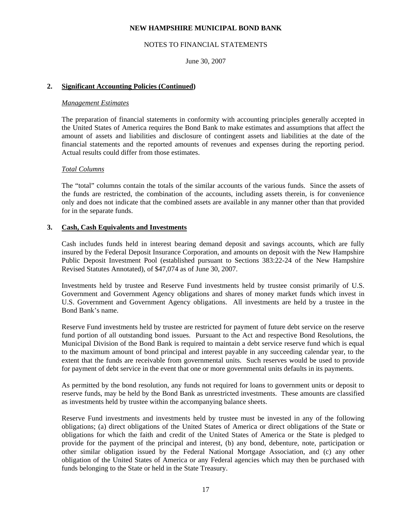#### NOTES TO FINANCIAL STATEMENTS

June 30, 2007

#### **2. Significant Accounting Policies (Continued)**

#### *Management Estimates*

 The preparation of financial statements in conformity with accounting principles generally accepted in the United States of America requires the Bond Bank to make estimates and assumptions that affect the amount of assets and liabilities and disclosure of contingent assets and liabilities at the date of the financial statements and the reported amounts of revenues and expenses during the reporting period. Actual results could differ from those estimates.

#### *Total Columns*

 The "total" columns contain the totals of the similar accounts of the various funds. Since the assets of the funds are restricted, the combination of the accounts, including assets therein, is for convenience only and does not indicate that the combined assets are available in any manner other than that provided for in the separate funds.

#### **3. Cash, Cash Equivalents and Investments**

 Cash includes funds held in interest bearing demand deposit and savings accounts, which are fully insured by the Federal Deposit Insurance Corporation, and amounts on deposit with the New Hampshire Public Deposit Investment Pool (established pursuant to Sections 383:22-24 of the New Hampshire Revised Statutes Annotated), of \$47,074 as of June 30, 2007.

 Investments held by trustee and Reserve Fund investments held by trustee consist primarily of U.S. Government and Government Agency obligations and shares of money market funds which invest in U.S. Government and Government Agency obligations. All investments are held by a trustee in the Bond Bank's name.

 Reserve Fund investments held by trustee are restricted for payment of future debt service on the reserve fund portion of all outstanding bond issues. Pursuant to the Act and respective Bond Resolutions, the Municipal Division of the Bond Bank is required to maintain a debt service reserve fund which is equal to the maximum amount of bond principal and interest payable in any succeeding calendar year, to the extent that the funds are receivable from governmental units. Such reserves would be used to provide for payment of debt service in the event that one or more governmental units defaults in its payments.

 As permitted by the bond resolution, any funds not required for loans to government units or deposit to reserve funds, may be held by the Bond Bank as unrestricted investments. These amounts are classified as investments held by trustee within the accompanying balance sheets.

 Reserve Fund investments and investments held by trustee must be invested in any of the following obligations; (a) direct obligations of the United States of America or direct obligations of the State or obligations for which the faith and credit of the United States of America or the State is pledged to provide for the payment of the principal and interest, (b) any bond, debenture, note, participation or other similar obligation issued by the Federal National Mortgage Association, and (c) any other obligation of the United States of America or any Federal agencies which may then be purchased with funds belonging to the State or held in the State Treasury.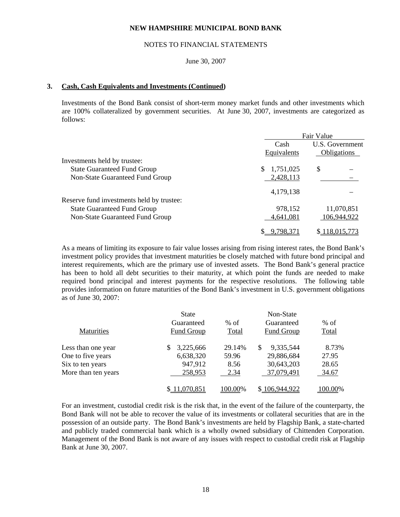#### NOTES TO FINANCIAL STATEMENTS

#### June 30, 2007

#### **3. Cash, Cash Equivalents and Investments (Continued)**

 Investments of the Bond Bank consist of short-term money market funds and other investments which are 100% collateralized by government securities. At June 30, 2007, investments are categorized as follows:

|                                           | Fair Value      |                 |
|-------------------------------------------|-----------------|-----------------|
|                                           | Cash            | U.S. Government |
|                                           | Equivalents     | Obligations     |
| Investments held by trustee:              |                 |                 |
| <b>State Guaranteed Fund Group</b>        | 1,751,025<br>S. | \$              |
| Non-State Guaranteed Fund Group           | 2,428,113       |                 |
|                                           | 4,179,138       |                 |
| Reserve fund investments held by trustee: |                 |                 |
| <b>State Guaranteed Fund Group</b>        | 978,152         | 11,070,851      |
| Non-State Guaranteed Fund Group           | 4,641,081       | 106,944,922     |
|                                           | 9.798.37        | \$118,015,773   |

 As a means of limiting its exposure to fair value losses arising from rising interest rates, the Bond Bank's investment policy provides that investment maturities be closely matched with future bond principal and interest requirements, which are the primary use of invested assets. The Bond Bank's general practice has been to hold all debt securities to their maturity, at which point the funds are needed to make required bond principal and interest payments for the respective resolutions. The following table provides information on future maturities of the Bond Bank's investment in U.S. government obligations as of June 30, 2007:

| <b>Maturities</b>   | <b>State</b><br>Guaranteed | $%$ of  | Non-State<br>Guaranteed | $%$ of  |
|---------------------|----------------------------|---------|-------------------------|---------|
|                     | Fund Group                 | Total   | Fund Group              | Total   |
| Less than one year  | 3,225,666<br>\$            | 29.14%  | 9,335,544               | 8.73%   |
| One to five years   | 6,638,320                  | 59.96   | 29,886,684              | 27.95   |
| Six to ten years    | 947,912                    | 8.56    | 30,643,203              | 28.65   |
| More than ten years | 258,953                    | 2.34    | 37,079,491              | 34.67   |
|                     | 11,070,851                 | 100.00% | \$106,944,922           | 100.00% |

 For an investment, custodial credit risk is the risk that, in the event of the failure of the counterparty, the Bond Bank will not be able to recover the value of its investments or collateral securities that are in the possession of an outside party. The Bond Bank's investments are held by Flagship Bank, a state-charted and publicly traded commercial bank which is a wholly owned subsidiary of Chittenden Corporation. Management of the Bond Bank is not aware of any issues with respect to custodial credit risk at Flagship Bank at June 30, 2007.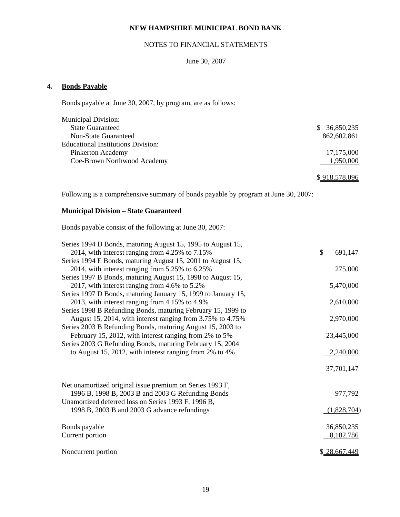# NOTES TO FINANCIAL STATEMENTS

## June 30, 2007

# **4. Bonds Payable**

Bonds payable at June 30, 2007, by program, are as follows:

| <b>State Guaranteed</b>                   | 36,850,235<br>SS. |
|-------------------------------------------|-------------------|
| Non-State Guaranteed                      | 862,602,861       |
| <b>Educational Institutions Division:</b> |                   |
| Pinkerton Academy                         | 17,175,000        |
| Coe-Brown Northwood Academy               | 1,950,000         |

\$ 918,578,096

Following is a comprehensive summary of bonds payable by program at June 30, 2007:

# **Municipal Division – State Guaranteed**

Bonds payable consist of the following at June 30, 2007:

| Series 1994 D Bonds, maturing August 15, 1995 to August 15,   |               |
|---------------------------------------------------------------|---------------|
| 2014, with interest ranging from 4.25% to 7.15%               | \$<br>691,147 |
| Series 1994 E Bonds, maturing August 15, 2001 to August 15,   |               |
| 2014, with interest ranging from 5.25% to 6.25%               | 275,000       |
| Series 1997 B Bonds, maturing August 15, 1998 to August 15,   |               |
| 2017, with interest ranging from 4.6% to 5.2%                 | 5,470,000     |
| Series 1997 D Bonds, maturing January 15, 1999 to January 15, |               |
| 2013, with interest ranging from 4.15% to 4.9%                | 2,610,000     |
| Series 1998 B Refunding Bonds, maturing February 15, 1999 to  |               |
| August 15, 2014, with interest ranging from 3.75% to 4.75%    | 2,970,000     |
| Series 2003 B Refunding Bonds, maturing August 15, 2003 to    |               |
| February 15, 2012, with interest ranging from 2% to 5%        | 23,445,000    |
| Series 2003 G Refunding Bonds, maturing February 15, 2004     |               |
| to August 15, 2012, with interest ranging from 2% to 4%       | 2,240,000     |
|                                                               |               |
|                                                               | 37,701,147    |
|                                                               |               |
| Net unamortized original issue premium on Series 1993 F,      |               |
| 1996 B, 1998 B, 2003 B and 2003 G Refunding Bonds             | 977,792       |
| Unamortized deferred loss on Series 1993 F, 1996 B,           |               |
| 1998 B, 2003 B and 2003 G advance refundings                  | (1,828,704)   |
|                                                               |               |
| Bonds payable                                                 | 36,850,235    |
| Current portion                                               | 8,182,786     |
|                                                               |               |
| Noncurrent portion                                            | \$28,667,449  |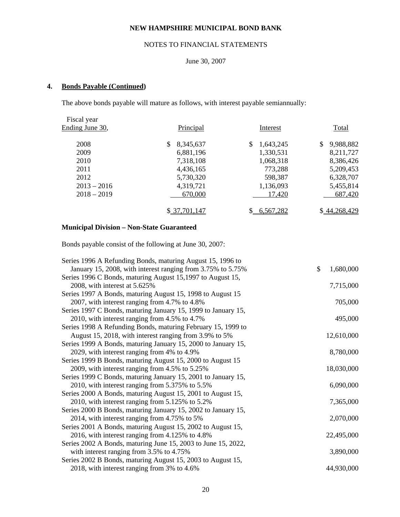# NOTES TO FINANCIAL STATEMENTS

## June 30, 2007

# **4. Bonds Payable (Continued)**

The above bonds payable will mature as follows, with interest payable semiannually:

| Fiscal year     |                  |                 |                 |
|-----------------|------------------|-----------------|-----------------|
| Ending June 30, | Principal        | Interest        | Total           |
| 2008            | 8,345,637<br>\$. | \$<br>1,643,245 | 9,988,882<br>\$ |
| 2009            | 6,881,196        | 1,330,531       | 8,211,727       |
| 2010            | 7,318,108        | 1,068,318       | 8,386,426       |
| 2011            | 4,436,165        | 773,288         | 5,209,453       |
| 2012            | 5,730,320        | 598,387         | 6,328,707       |
| $2013 - 2016$   | 4,319,721        | 1,136,093       | 5,455,814       |
| $2018 - 2019$   | 670,000          | 17,420          | 687,420         |
|                 | \$37,701,147     | 6,567,282       | \$44,268,429    |

# **Municipal Division – Non-State Guaranteed**

Bonds payable consist of the following at June 30, 2007:

| Series 1996 A Refunding Bonds, maturing August 15, 1996 to    |                 |
|---------------------------------------------------------------|-----------------|
| January 15, 2008, with interest ranging from 3.75% to 5.75%   | \$<br>1,680,000 |
| Series 1996 C Bonds, maturing August 15, 1997 to August 15,   |                 |
| 2008, with interest at 5.625%                                 | 7,715,000       |
| Series 1997 A Bonds, maturing August 15, 1998 to August 15    |                 |
| 2007, with interest ranging from 4.7% to 4.8%                 | 705,000         |
| Series 1997 C Bonds, maturing January 15, 1999 to January 15, |                 |
| 2010, with interest ranging from 4.5% to 4.7%                 | 495,000         |
| Series 1998 A Refunding Bonds, maturing February 15, 1999 to  |                 |
| August 15, 2018, with interest ranging from 3.9% to 5%        | 12,610,000      |
| Series 1999 A Bonds, maturing January 15, 2000 to January 15, |                 |
| 2029, with interest ranging from 4% to 4.9%                   | 8,780,000       |
| Series 1999 B Bonds, maturing August 15, 2000 to August 15    |                 |
| 2009, with interest ranging from 4.5% to 5.25%                | 18,030,000      |
| Series 1999 C Bonds, maturing January 15, 2001 to January 15, |                 |
| 2010, with interest ranging from 5.375% to 5.5%               | 6,090,000       |
| Series 2000 A Bonds, maturing August 15, 2001 to August 15,   |                 |
| 2010, with interest ranging from 5.125% to 5.2%               | 7,365,000       |
| Series 2000 B Bonds, maturing January 15, 2002 to January 15, |                 |
| 2014, with interest ranging from 4.75% to 5%                  | 2,070,000       |
| Series 2001 A Bonds, maturing August 15, 2002 to August 15,   |                 |
| 2016, with interest ranging from 4.125% to 4.8%               | 22,495,000      |
| Series 2002 A Bonds, maturing June 15, 2003 to June 15, 2022, |                 |
| with interest ranging from 3.5% to 4.75%                      | 3,890,000       |
| Series 2002 B Bonds, maturing August 15, 2003 to August 15,   |                 |
| 2018, with interest ranging from 3% to 4.6%                   | 44,930,000      |
|                                                               |                 |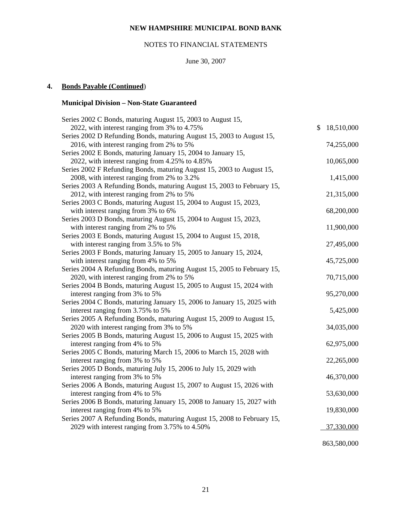# NOTES TO FINANCIAL STATEMENTS

# June 30, 2007

# **4. Bonds Payable (Continued**)

# **Municipal Division – Non-State Guaranteed**

| Series 2002 C Bonds, maturing August 15, 2003 to August 15,             |                  |
|-------------------------------------------------------------------------|------------------|
| 2022, with interest ranging from 3% to 4.75%                            | \$<br>18,510,000 |
| Series 2002 D Refunding Bonds, maturing August 15, 2003 to August 15,   |                  |
| 2016, with interest ranging from 2% to 5%                               | 74,255,000       |
| Series 2002 E Bonds, maturing January 15, 2004 to January 15,           |                  |
| 2022, with interest ranging from 4.25% to 4.85%                         | 10,065,000       |
| Series 2002 F Refunding Bonds, maturing August 15, 2003 to August 15,   |                  |
| 2008, with interest ranging from 2% to 3.2%                             | 1,415,000        |
| Series 2003 A Refunding Bonds, maturing August 15, 2003 to February 15, |                  |
| 2012, with interest ranging from 2% to 5%                               | 21,315,000       |
| Series 2003 C Bonds, maturing August 15, 2004 to August 15, 2023,       |                  |
| with interest ranging from 3% to 6%                                     | 68,200,000       |
| Series 2003 D Bonds, maturing August 15, 2004 to August 15, 2023,       |                  |
| with interest ranging from 2% to 5%                                     | 11,900,000       |
| Series 2003 E Bonds, maturing August 15, 2004 to August 15, 2018,       |                  |
| with interest ranging from 3.5% to 5%                                   | 27,495,000       |
| Series 2003 F Bonds, maturing January 15, 2005 to January 15, 2024,     |                  |
| with interest ranging from 4% to 5%                                     | 45,725,000       |
| Series 2004 A Refunding Bonds, maturing August 15, 2005 to February 15, |                  |
| 2020, with interest ranging from 2% to 5%                               | 70,715,000       |
| Series 2004 B Bonds, maturing August 15, 2005 to August 15, 2024 with   |                  |
| interest ranging from 3% to 5%                                          | 95,270,000       |
| Series 2004 C Bonds, maturing January 15, 2006 to January 15, 2025 with |                  |
| interest ranging from 3.75% to 5%                                       | 5,425,000        |
| Series 2005 A Refunding Bonds, maturing August 15, 2009 to August 15,   |                  |
| 2020 with interest ranging from 3% to 5%                                | 34,035,000       |
| Series 2005 B Bonds, maturing August 15, 2006 to August 15, 2025 with   |                  |
| interest ranging from 4% to 5%                                          | 62,975,000       |
| Series 2005 C Bonds, maturing March 15, 2006 to March 15, 2028 with     |                  |
| interest ranging from 3% to 5%                                          | 22,265,000       |
| Series 2005 D Bonds, maturing July 15, 2006 to July 15, 2029 with       |                  |
| interest ranging from 3% to 5%                                          | 46,370,000       |
| Series 2006 A Bonds, maturing August 15, 2007 to August 15, 2026 with   |                  |
| interest ranging from 4% to 5%                                          | 53,630,000       |
| Series 2006 B Bonds, maturing January 15, 2008 to January 15, 2027 with |                  |
| interest ranging from 4% to 5%                                          | 19,830,000       |
| Series 2007 A Refunding Bonds, maturing August 15, 2008 to February 15, |                  |
| 2029 with interest ranging from 3.75% to 4.50%                          | 37,330,000       |
|                                                                         |                  |

863,580,000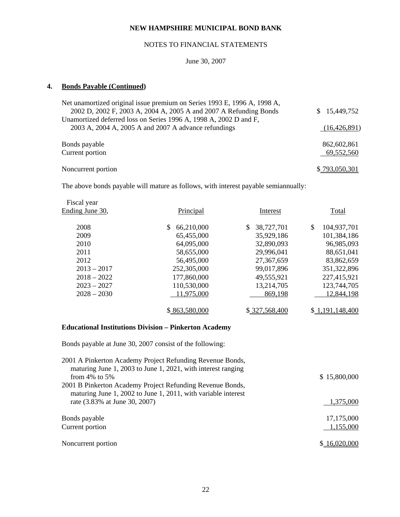# NOTES TO FINANCIAL STATEMENTS

June 30, 2007

## **4. Bonds Payable (Continued)**

| Net unamortized original issue premium on Series 1993 E, 1996 A, 1998 A, |                  |
|--------------------------------------------------------------------------|------------------|
| 2002 D, 2002 F, 2003 A, 2004 A, 2005 A and 2007 A Refunding Bonds        | 15,449,752<br>S. |
| Unamortized deferred loss on Series 1996 A, 1998 A, 2002 D and F,        |                  |
| 2003 A, 2004 A, 2005 A and 2007 A advance refundings                     | (16, 426, 891)   |
|                                                                          |                  |
| Bonds payable                                                            | 862,602,861      |
| Current portion                                                          | 69,552,560       |
|                                                                          |                  |
| Noncurrent portion                                                       | \$_793,050,301   |

The above bonds payable will mature as follows, with interest payable semiannually:

| Fiscal year     |                   |                |                   |
|-----------------|-------------------|----------------|-------------------|
| Ending June 30, | Principal         | Interest       | <b>Total</b>      |
|                 |                   |                |                   |
| 2008            | 66,210,000<br>\$. | 38,727,701     | \$<br>104,937,701 |
| 2009            | 65,455,000        | 35,929,186     | 101,384,186       |
| 2010            | 64,095,000        | 32,890,093     | 96,985,093        |
| 2011            | 58,655,000        | 29,996,041     | 88,651,041        |
| 2012            | 56,495,000        | 27,367,659     | 83,862,659        |
| $2013 - 2017$   | 252,305,000       | 99,017,896     | 351,322,896       |
| $2018 - 2022$   | 177,860,000       | 49,555,921     | 227,415,921       |
| $2023 - 2027$   | 110,530,000       | 13,214,705     | 123,744,705       |
| $2028 - 2030$   | 11,975,000        | 869,198        | 12,844,198        |
|                 |                   |                |                   |
|                 | \$863,580,000     | \$ 327,568,400 | \$1,191,148,400   |

# **Educational Institutions Division – Pinkerton Academy**

Bonds payable at June 30, 2007 consist of the following:

| \$15,800,000 |
|--------------|
|              |
|              |
| 1,375,000    |
|              |
| 17,175,000   |
| 1,155,000    |
|              |
| \$16,020,000 |
|              |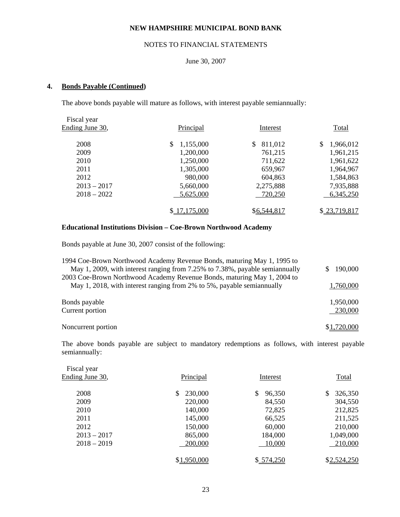# NOTES TO FINANCIAL STATEMENTS

# June 30, 2007

#### **4. Bonds Payable (Continued)**

The above bonds payable will mature as follows, with interest payable semiannually:

| Fiscal year     |                 |               |                 |
|-----------------|-----------------|---------------|-----------------|
| Ending June 30, | Principal       | Interest      | Total           |
| 2008            | \$<br>1,155,000 | \$<br>811,012 | \$<br>1,966,012 |
| 2009            | 1,200,000       | 761,215       | 1,961,215       |
| 2010            | 1,250,000       | 711,622       | 1,961,622       |
| 2011            | 1,305,000       | 659,967       | 1,964,967       |
| 2012            | 980,000         | 604,863       | 1,584,863       |
| $2013 - 2017$   | 5,660,000       | 2,275,888     | 7,935,888       |
| $2018 - 2022$   | 5,625,000       | 720,250       | 6,345,250       |
|                 | \$17,175,000    | \$6,544,817   | \$23,719,817    |

#### **Educational Institutions Division – Coe-Brown Northwood Academy**

Bonds payable at June 30, 2007 consist of the following:

| 1994 Coe-Brown Northwood Academy Revenue Bonds, maturing May 1, 1995 to<br>May 1, 2009, with interest ranging from 7.25% to 7.38%, payable semiannually | 190,000<br>\$. |
|---------------------------------------------------------------------------------------------------------------------------------------------------------|----------------|
| 2003 Coe-Brown Northwood Academy Revenue Bonds, maturing May 1, 2004 to                                                                                 |                |
| May 1, 2018, with interest ranging from 2% to 5%, payable semiannually                                                                                  | 1,760,000      |
| Bonds payable                                                                                                                                           | 1,950,000      |
| Current portion                                                                                                                                         | 230,000        |
| Noncurrent portion                                                                                                                                      | \$1,720,000    |

 The above bonds payable are subject to mandatory redemptions as follows, with interest payable semiannually:

| Principal     | Interest     | Total         |
|---------------|--------------|---------------|
| 230,000<br>S. | \$<br>96,350 | 326,350<br>\$ |
| 220,000       | 84,550       | 304,550       |
| 140,000       | 72,825       | 212,825       |
| 145,000       | 66,525       | 211,525       |
| 150,000       | 60,000       | 210,000       |
| 865,000       | 184,000      | 1,049,000     |
| 200,000       | 10,000       | 210,000       |
| \$1,950,000   | \$574,250    | \$2,524,250   |
|               |              |               |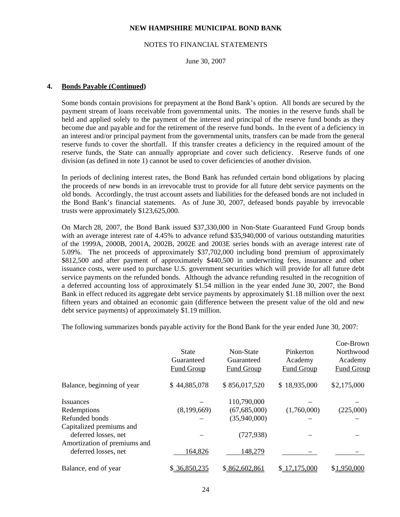#### NOTES TO FINANCIAL STATEMENTS

June 30, 2007

#### **4. Bonds Payable (Continued)**

 Some bonds contain provisions for prepayment at the Bond Bank's option. All bonds are secured by the payment stream of loans receivable from governmental units. The monies in the reserve funds shall be held and applied solely to the payment of the interest and principal of the reserve fund bonds as they become due and payable and for the retirement of the reserve fund bonds. In the event of a deficiency in an interest and/or principal payment from the governmental units, transfers can be made from the general reserve funds to cover the shortfall. If this transfer creates a deficiency in the required amount of the reserve funds, the State can annually appropriate and cover such deficiency. Reserve funds of one division (as defined in note 1) cannot be used to cover deficiencies of another division.

 In periods of declining interest rates, the Bond Bank has refunded certain bond obligations by placing the proceeds of new bonds in an irrevocable trust to provide for all future debt service payments on the old bonds. Accordingly, the trust account assets and liabilities for the defeased bonds are not included in the Bond Bank's financial statements. As of June 30, 2007, defeased bonds payable by irrevocable trusts were approximately \$123,625,000.

 On March 28, 2007, the Bond Bank issued \$37,330,000 in Non-State Guaranteed Fund Group bonds with an average interest rate of 4.45% to advance refund \$35,940,000 of various outstanding maturities of the 1999A, 2000B, 2001A, 2002B, 2002E and 2003E series bonds with an average interest rate of 5.09%. The net proceeds of approximately \$37,702,000 including bond premium of approximately \$812,500 and after payment of approximately \$440,500 in underwriting fees, insurance and other issuance costs, were used to purchase U.S. government securities which will provide for all future debt service payments on the refunded bonds. Although the advance refunding resulted in the recognition of a deferred accounting loss of approximately \$1.54 million in the year ended June 30, 2007, the Bond Bank in effect reduced its aggregate debt service payments by approximately \$1.18 million over the next fifteen years and obtained an economic gain (difference between the present value of the old and new debt service payments) of approximately \$1.19 million.

The following summarizes bonds payable activity for the Bond Bank for the year ended June 30, 2007:

|                                                      | <b>State</b><br>Guaranteed<br>Fund Group | Non-State<br>Guaranteed<br>Fund Group | Pinkerton<br>Academy<br>Fund Group | Coe-Brown<br>Northwood<br>Academy<br><b>Fund Group</b> |
|------------------------------------------------------|------------------------------------------|---------------------------------------|------------------------------------|--------------------------------------------------------|
| Balance, beginning of year                           | \$44,885,078                             | \$856,017,520                         | \$18,935,000                       | \$2,175,000                                            |
| <i>Issuances</i>                                     |                                          | 110,790,000                           |                                    |                                                        |
| Redemptions                                          | (8,199,669)                              | (67, 685, 000)                        | (1,760,000)                        | (225,000)                                              |
| Refunded bonds                                       |                                          | (35,940,000)                          |                                    |                                                        |
| Capitalized premiums and<br>deferred losses, net     |                                          | (727, 938)                            |                                    |                                                        |
| Amortization of premiums and<br>deferred losses, net | 164,826                                  | 148,279                               |                                    |                                                        |
| Balance, end of year                                 | \$36,850,235                             | \$862,602,861                         | \$17,175,000                       | \$1,950,000                                            |